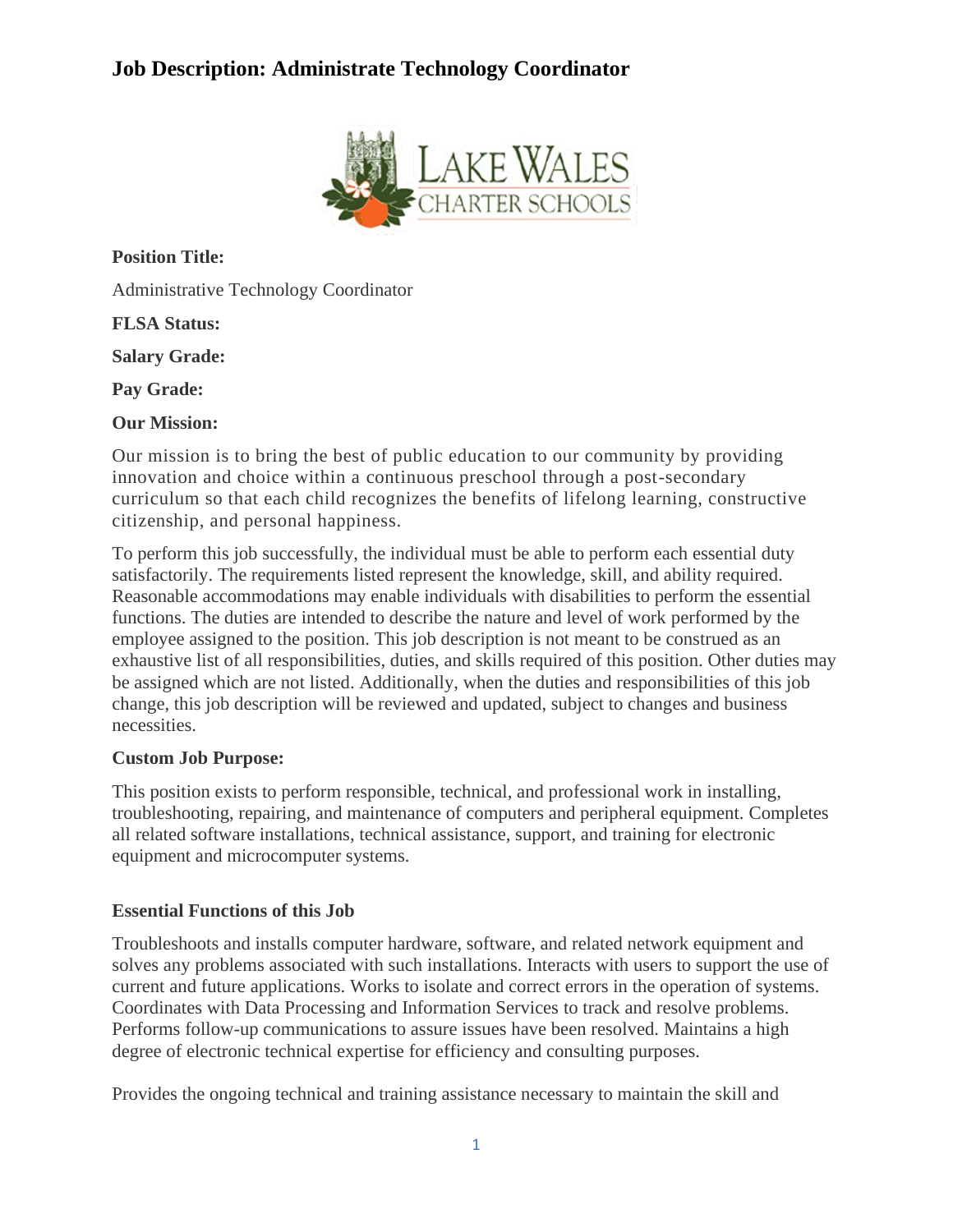# **Job Description: Administrate Technology Coordinator**



**Position Title:** Administrative Technology Coordinator

**FLSA Status:**

**Salary Grade:**

**Pay Grade:**

**Our Mission:**

Our mission is to bring the best of public education to our community by providing innovation and choice within a continuous preschool through a post-secondary curriculum so that each child recognizes the benefits of lifelong learning, constructive citizenship, and personal happiness.

To perform this job successfully, the individual must be able to perform each essential duty satisfactorily. The requirements listed represent the knowledge, skill, and ability required. Reasonable accommodations may enable individuals with disabilities to perform the essential functions. The duties are intended to describe the nature and level of work performed by the employee assigned to the position. This job description is not meant to be construed as an exhaustive list of all responsibilities, duties, and skills required of this position. Other duties may be assigned which are not listed. Additionally, when the duties and responsibilities of this job change, this job description will be reviewed and updated, subject to changes and business necessities.

## **Custom Job Purpose:**

This position exists to perform responsible, technical, and professional work in installing, troubleshooting, repairing, and maintenance of computers and peripheral equipment. Completes all related software installations, technical assistance, support, and training for electronic equipment and microcomputer systems.

## **Essential Functions of this Job**

Troubleshoots and installs computer hardware, software, and related network equipment and solves any problems associated with such installations. Interacts with users to support the use of current and future applications. Works to isolate and correct errors in the operation of systems. Coordinates with Data Processing and Information Services to track and resolve problems. Performs follow-up communications to assure issues have been resolved. Maintains a high degree of electronic technical expertise for efficiency and consulting purposes.

Provides the ongoing technical and training assistance necessary to maintain the skill and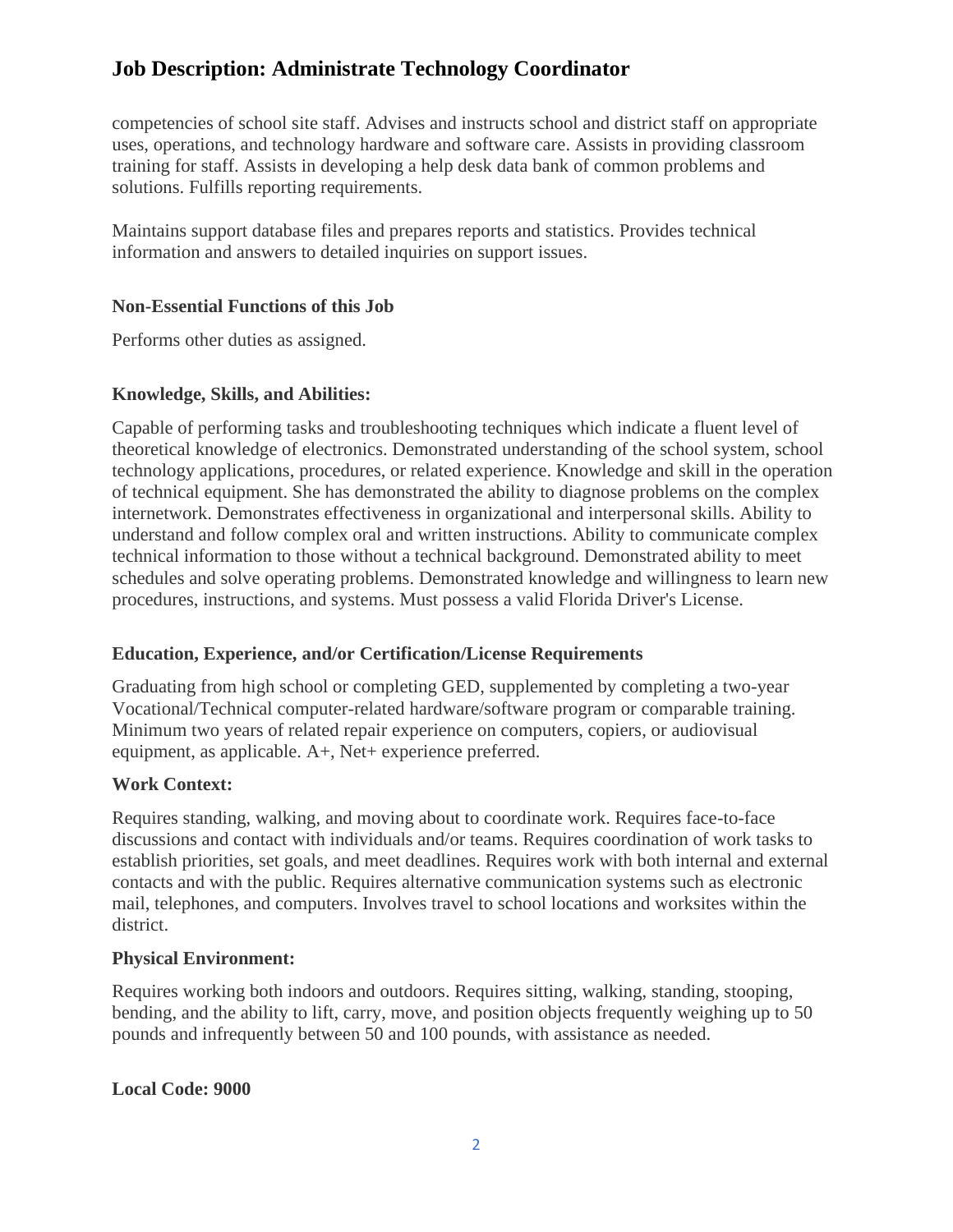## **Job Description: Administrate Technology Coordinator**

competencies of school site staff. Advises and instructs school and district staff on appropriate uses, operations, and technology hardware and software care. Assists in providing classroom training for staff. Assists in developing a help desk data bank of common problems and solutions. Fulfills reporting requirements.

Maintains support database files and prepares reports and statistics. Provides technical information and answers to detailed inquiries on support issues.

## **Non-Essential Functions of this Job**

Performs other duties as assigned.

## **Knowledge, Skills, and Abilities:**

Capable of performing tasks and troubleshooting techniques which indicate a fluent level of theoretical knowledge of electronics. Demonstrated understanding of the school system, school technology applications, procedures, or related experience. Knowledge and skill in the operation of technical equipment. She has demonstrated the ability to diagnose problems on the complex internetwork. Demonstrates effectiveness in organizational and interpersonal skills. Ability to understand and follow complex oral and written instructions. Ability to communicate complex technical information to those without a technical background. Demonstrated ability to meet schedules and solve operating problems. Demonstrated knowledge and willingness to learn new procedures, instructions, and systems. Must possess a valid Florida Driver's License.

## **Education, Experience, and/or Certification/License Requirements**

Graduating from high school or completing GED, supplemented by completing a two-year Vocational/Technical computer-related hardware/software program or comparable training. Minimum two years of related repair experience on computers, copiers, or audiovisual equipment, as applicable. A+, Net+ experience preferred.

#### **Work Context:**

Requires standing, walking, and moving about to coordinate work. Requires face-to-face discussions and contact with individuals and/or teams. Requires coordination of work tasks to establish priorities, set goals, and meet deadlines. Requires work with both internal and external contacts and with the public. Requires alternative communication systems such as electronic mail, telephones, and computers. Involves travel to school locations and worksites within the district.

#### **Physical Environment:**

Requires working both indoors and outdoors. Requires sitting, walking, standing, stooping, bending, and the ability to lift, carry, move, and position objects frequently weighing up to 50 pounds and infrequently between 50 and 100 pounds, with assistance as needed.

#### **Local Code: 9000**